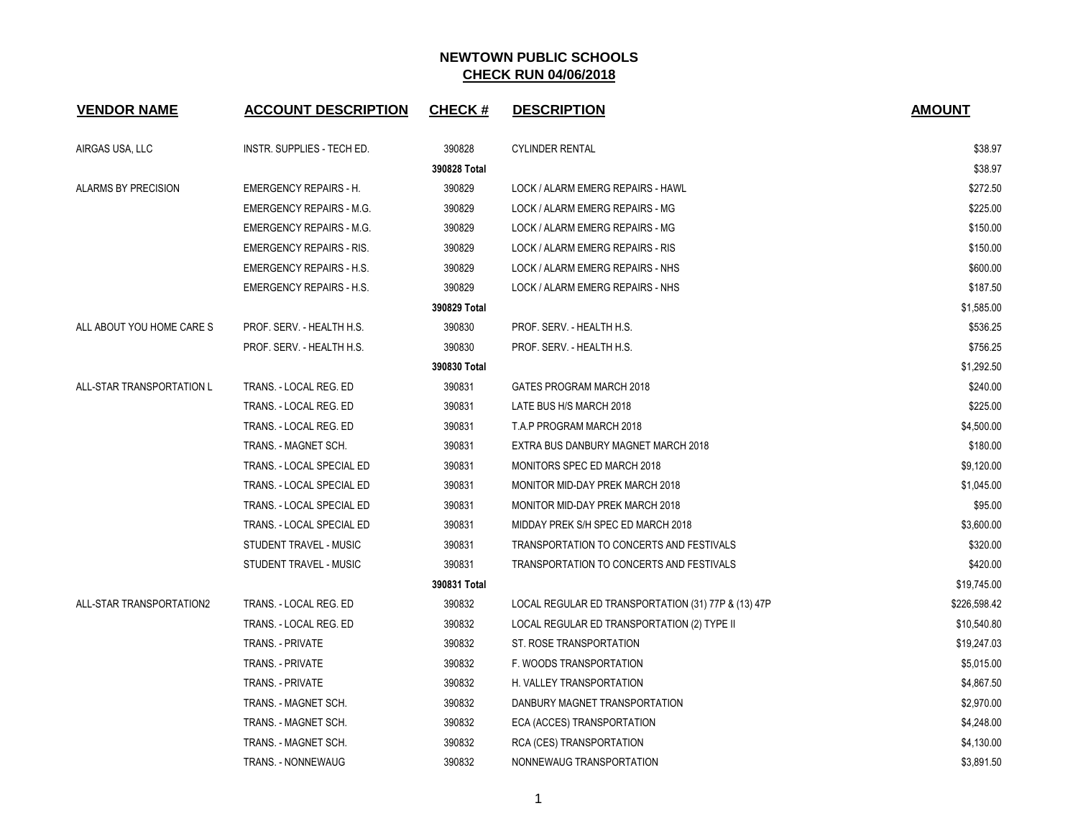| <b>VENDOR NAME</b>         | <b>ACCOUNT DESCRIPTION</b>      | <b>CHECK#</b> | <b>DESCRIPTION</b>                                  | <b>AMOUNT</b> |
|----------------------------|---------------------------------|---------------|-----------------------------------------------------|---------------|
| AIRGAS USA, LLC            | INSTR. SUPPLIES - TECH ED.      | 390828        | <b>CYLINDER RENTAL</b>                              | \$38.97       |
|                            |                                 | 390828 Total  |                                                     | \$38.97       |
| <b>ALARMS BY PRECISION</b> | <b>EMERGENCY REPAIRS - H.</b>   | 390829        | LOCK / ALARM EMERG REPAIRS - HAWL                   | \$272.50      |
|                            | <b>EMERGENCY REPAIRS - M.G.</b> | 390829        | LOCK / ALARM EMERG REPAIRS - MG                     | \$225.00      |
|                            | <b>EMERGENCY REPAIRS - M.G.</b> | 390829        | LOCK / ALARM EMERG REPAIRS - MG                     | \$150.00      |
|                            | <b>EMERGENCY REPAIRS - RIS.</b> | 390829        | LOCK / ALARM EMERG REPAIRS - RIS                    | \$150.00      |
|                            | <b>EMERGENCY REPAIRS - H.S.</b> | 390829        | LOCK / ALARM EMERG REPAIRS - NHS                    | \$600.00      |
|                            | <b>EMERGENCY REPAIRS - H.S.</b> | 390829        | LOCK / ALARM EMERG REPAIRS - NHS                    | \$187.50      |
|                            |                                 | 390829 Total  |                                                     | \$1,585.00    |
| ALL ABOUT YOU HOME CARE S  | PROF. SERV. - HEALTH H.S.       | 390830        | PROF. SERV. - HEALTH H.S.                           | \$536.25      |
|                            | PROF. SERV. - HEALTH H.S.       | 390830        | PROF. SERV. - HEALTH H.S.                           | \$756.25      |
|                            |                                 | 390830 Total  |                                                     | \$1,292.50    |
| ALL-STAR TRANSPORTATION L  | TRANS. - LOCAL REG. ED          | 390831        | GATES PROGRAM MARCH 2018                            | \$240.00      |
|                            | TRANS. - LOCAL REG. ED          | 390831        | LATE BUS H/S MARCH 2018                             | \$225.00      |
|                            | TRANS. - LOCAL REG. ED          | 390831        | T.A.P PROGRAM MARCH 2018                            | \$4,500.00    |
|                            | TRANS. - MAGNET SCH.            | 390831        | EXTRA BUS DANBURY MAGNET MARCH 2018                 | \$180.00      |
|                            | TRANS. - LOCAL SPECIAL ED       | 390831        | MONITORS SPEC ED MARCH 2018                         | \$9,120.00    |
|                            | TRANS. - LOCAL SPECIAL ED       | 390831        | MONITOR MID-DAY PREK MARCH 2018                     | \$1,045.00    |
|                            | TRANS. - LOCAL SPECIAL ED       | 390831        | MONITOR MID-DAY PREK MARCH 2018                     | \$95.00       |
|                            | TRANS. - LOCAL SPECIAL ED       | 390831        | MIDDAY PREK S/H SPEC ED MARCH 2018                  | \$3,600.00    |
|                            | STUDENT TRAVEL - MUSIC          | 390831        | TRANSPORTATION TO CONCERTS AND FESTIVALS            | \$320.00      |
|                            | STUDENT TRAVEL - MUSIC          | 390831        | TRANSPORTATION TO CONCERTS AND FESTIVALS            | \$420.00      |
|                            |                                 | 390831 Total  |                                                     | \$19,745.00   |
| ALL-STAR TRANSPORTATION2   | TRANS. - LOCAL REG. ED          | 390832        | LOCAL REGULAR ED TRANSPORTATION (31) 77P & (13) 47P | \$226,598.42  |
|                            | TRANS. - LOCAL REG. ED          | 390832        | LOCAL REGULAR ED TRANSPORTATION (2) TYPE II         | \$10,540.80   |
|                            | <b>TRANS. - PRIVATE</b>         | 390832        | ST. ROSE TRANSPORTATION                             | \$19,247.03   |
|                            | TRANS. - PRIVATE                | 390832        | F. WOODS TRANSPORTATION                             | \$5,015.00    |
|                            | TRANS. - PRIVATE                | 390832        | H. VALLEY TRANSPORTATION                            | \$4,867.50    |
|                            | TRANS. - MAGNET SCH.            | 390832        | DANBURY MAGNET TRANSPORTATION                       | \$2,970.00    |
|                            | TRANS. - MAGNET SCH.            | 390832        | ECA (ACCES) TRANSPORTATION                          | \$4,248.00    |
|                            | TRANS. - MAGNET SCH.            | 390832        | RCA (CES) TRANSPORTATION                            | \$4,130.00    |
|                            | TRANS. - NONNEWAUG              | 390832        | NONNEWAUG TRANSPORTATION                            | \$3,891.50    |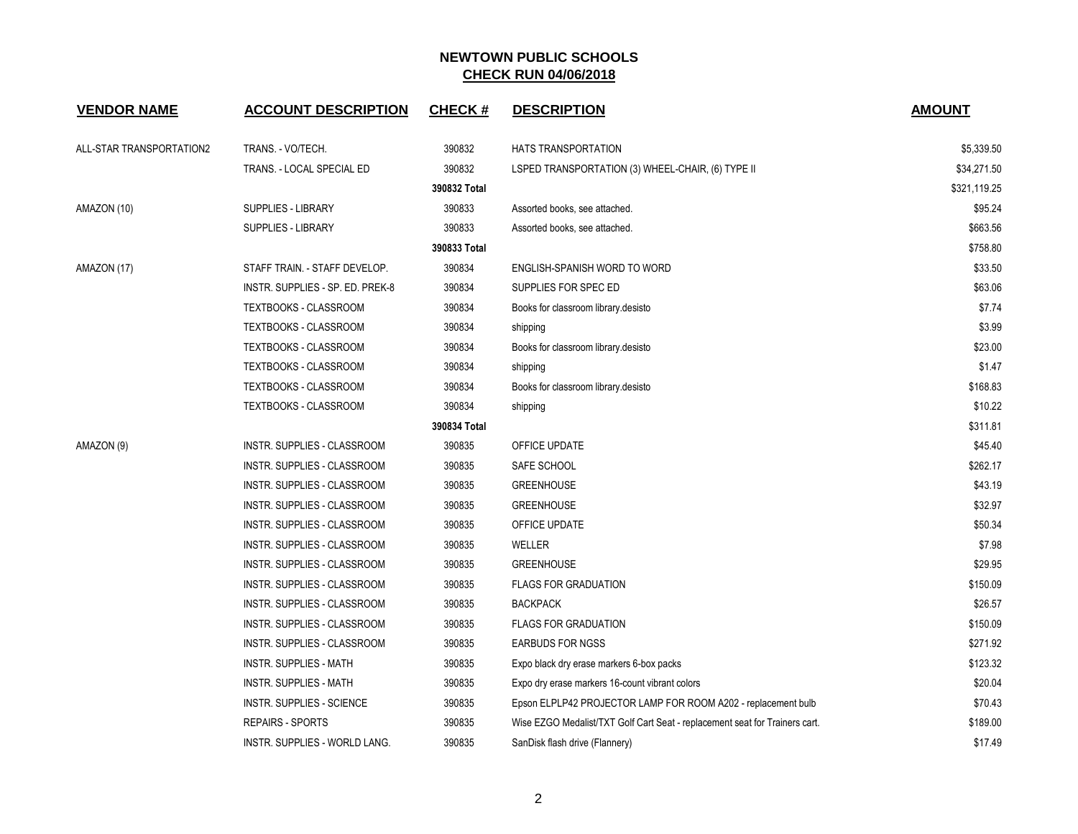| <b>VENDOR NAME</b>       | <b>ACCOUNT DESCRIPTION</b>       | <b>CHECK#</b> | <b>DESCRIPTION</b>                                                          | <b>AMOUNT</b> |
|--------------------------|----------------------------------|---------------|-----------------------------------------------------------------------------|---------------|
| ALL-STAR TRANSPORTATION2 | TRANS. - VO/TECH.                | 390832        | HATS TRANSPORTATION                                                         | \$5,339.50    |
|                          | TRANS. - LOCAL SPECIAL ED        | 390832        | LSPED TRANSPORTATION (3) WHEEL-CHAIR, (6) TYPE II                           | \$34,271.50   |
|                          |                                  | 390832 Total  |                                                                             | \$321,119.25  |
| AMAZON (10)              | SUPPLIES - LIBRARY               | 390833        | Assorted books, see attached.                                               | \$95.24       |
|                          | <b>SUPPLIES - LIBRARY</b>        | 390833        | Assorted books, see attached.                                               | \$663.56      |
|                          |                                  | 390833 Total  |                                                                             | \$758.80      |
| AMAZON (17)              | STAFF TRAIN. - STAFF DEVELOP.    | 390834        | ENGLISH-SPANISH WORD TO WORD                                                | \$33.50       |
|                          | INSTR. SUPPLIES - SP. ED. PREK-8 | 390834        | SUPPLIES FOR SPEC ED                                                        | \$63.06       |
|                          | TEXTBOOKS - CLASSROOM            | 390834        | Books for classroom library desisto                                         | \$7.74        |
|                          | TEXTBOOKS - CLASSROOM            | 390834        | shipping                                                                    | \$3.99        |
|                          | TEXTBOOKS - CLASSROOM            | 390834        | Books for classroom library desisto                                         | \$23.00       |
|                          | <b>TEXTBOOKS - CLASSROOM</b>     | 390834        | shipping                                                                    | \$1.47        |
|                          | <b>TEXTBOOKS - CLASSROOM</b>     | 390834        | Books for classroom library desisto                                         | \$168.83      |
|                          | TEXTBOOKS - CLASSROOM            | 390834        | shipping                                                                    | \$10.22       |
|                          |                                  | 390834 Total  |                                                                             | \$311.81      |
| AMAZON (9)               | INSTR. SUPPLIES - CLASSROOM      | 390835        | OFFICE UPDATE                                                               | \$45.40       |
|                          | INSTR. SUPPLIES - CLASSROOM      | 390835        | SAFE SCHOOL                                                                 | \$262.17      |
|                          | INSTR. SUPPLIES - CLASSROOM      | 390835        | <b>GREENHOUSE</b>                                                           | \$43.19       |
|                          | INSTR. SUPPLIES - CLASSROOM      | 390835        | <b>GREENHOUSE</b>                                                           | \$32.97       |
|                          | INSTR. SUPPLIES - CLASSROOM      | 390835        | OFFICE UPDATE                                                               | \$50.34       |
|                          | INSTR. SUPPLIES - CLASSROOM      | 390835        | WELLER                                                                      | \$7.98        |
|                          | INSTR. SUPPLIES - CLASSROOM      | 390835        | <b>GREENHOUSE</b>                                                           | \$29.95       |
|                          | INSTR. SUPPLIES - CLASSROOM      | 390835        | <b>FLAGS FOR GRADUATION</b>                                                 | \$150.09      |
|                          | INSTR. SUPPLIES - CLASSROOM      | 390835        | <b>BACKPACK</b>                                                             | \$26.57       |
|                          | INSTR. SUPPLIES - CLASSROOM      | 390835        | <b>FLAGS FOR GRADUATION</b>                                                 | \$150.09      |
|                          | INSTR. SUPPLIES - CLASSROOM      | 390835        | <b>EARBUDS FOR NGSS</b>                                                     | \$271.92      |
|                          | <b>INSTR. SUPPLIES - MATH</b>    | 390835        | Expo black dry erase markers 6-box packs                                    | \$123.32      |
|                          | <b>INSTR. SUPPLIES - MATH</b>    | 390835        | Expo dry erase markers 16-count vibrant colors                              | \$20.04       |
|                          | INSTR. SUPPLIES - SCIENCE        | 390835        | Epson ELPLP42 PROJECTOR LAMP FOR ROOM A202 - replacement bulb               | \$70.43       |
|                          | <b>REPAIRS - SPORTS</b>          | 390835        | Wise EZGO Medalist/TXT Golf Cart Seat - replacement seat for Trainers cart. | \$189.00      |
|                          | INSTR. SUPPLIES - WORLD LANG.    | 390835        | SanDisk flash drive (Flannery)                                              | \$17.49       |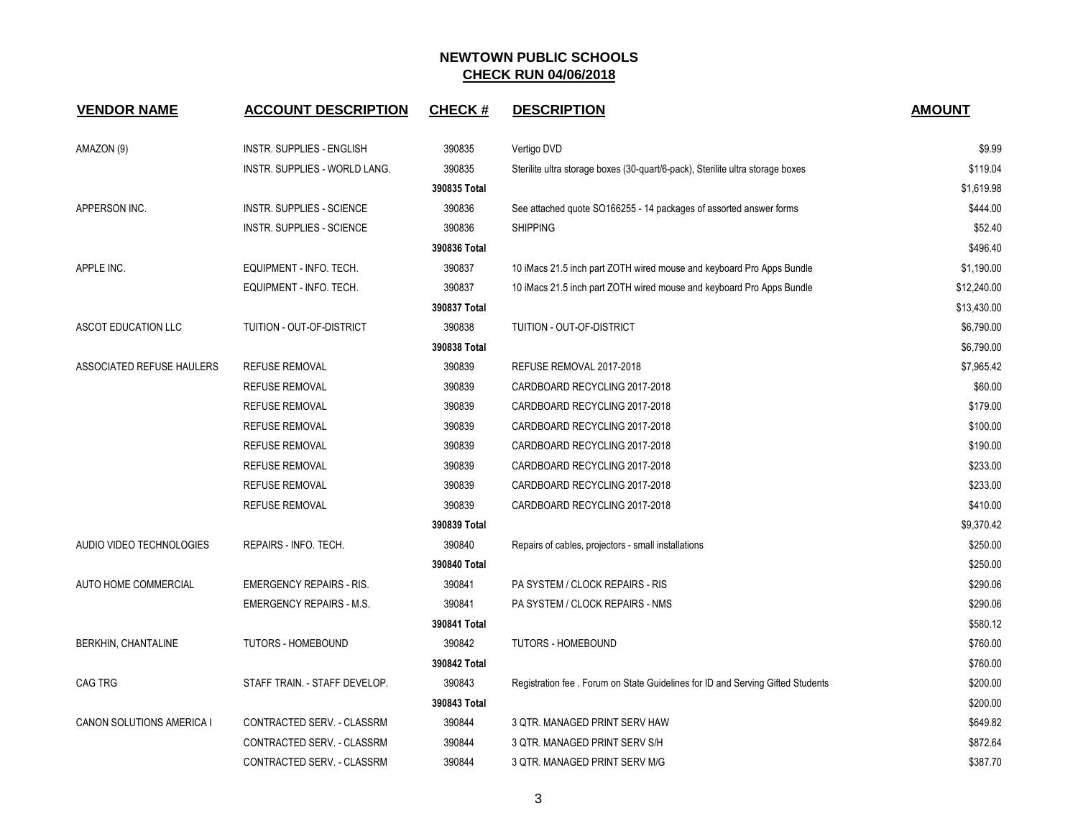| <b>VENDOR NAME</b>        | <b>ACCOUNT DESCRIPTION</b>       | <b>CHECK#</b> | <b>DESCRIPTION</b>                                                              | <b>AMOUNT</b> |
|---------------------------|----------------------------------|---------------|---------------------------------------------------------------------------------|---------------|
| AMAZON (9)                | <b>INSTR. SUPPLIES - ENGLISH</b> | 390835        | Vertigo DVD                                                                     | \$9.99        |
|                           | INSTR. SUPPLIES - WORLD LANG.    | 390835        | Sterilite ultra storage boxes (30-quart/6-pack), Sterilite ultra storage boxes  | \$119.04      |
|                           |                                  | 390835 Total  |                                                                                 | \$1,619.98    |
| APPERSON INC.             | <b>INSTR. SUPPLIES - SCIENCE</b> | 390836        | See attached quote SO166255 - 14 packages of assorted answer forms              | \$444.00      |
|                           | <b>INSTR. SUPPLIES - SCIENCE</b> | 390836        | <b>SHIPPING</b>                                                                 | \$52.40       |
|                           |                                  | 390836 Total  |                                                                                 | \$496.40      |
| APPLE INC.                | EQUIPMENT - INFO. TECH.          | 390837        | 10 iMacs 21.5 inch part ZOTH wired mouse and keyboard Pro Apps Bundle           | \$1,190.00    |
|                           | EQUIPMENT - INFO. TECH.          | 390837        | 10 iMacs 21.5 inch part ZOTH wired mouse and keyboard Pro Apps Bundle           | \$12,240.00   |
|                           |                                  | 390837 Total  |                                                                                 | \$13,430.00   |
| ASCOT EDUCATION LLC       | TUITION - OUT-OF-DISTRICT        | 390838        | TUITION - OUT-OF-DISTRICT                                                       | \$6,790.00    |
|                           |                                  | 390838 Total  |                                                                                 | \$6,790.00    |
| ASSOCIATED REFUSE HAULERS | <b>REFUSE REMOVAL</b>            | 390839        | REFUSE REMOVAL 2017-2018                                                        | \$7,965.42    |
|                           | <b>REFUSE REMOVAL</b>            | 390839        | CARDBOARD RECYCLING 2017-2018                                                   | \$60.00       |
|                           | <b>REFUSE REMOVAL</b>            | 390839        | CARDBOARD RECYCLING 2017-2018                                                   | \$179.00      |
|                           | <b>REFUSE REMOVAL</b>            | 390839        | CARDBOARD RECYCLING 2017-2018                                                   | \$100.00      |
|                           | <b>REFUSE REMOVAL</b>            | 390839        | CARDBOARD RECYCLING 2017-2018                                                   | \$190.00      |
|                           | <b>REFUSE REMOVAL</b>            | 390839        | CARDBOARD RECYCLING 2017-2018                                                   | \$233.00      |
|                           | <b>REFUSE REMOVAL</b>            | 390839        | CARDBOARD RECYCLING 2017-2018                                                   | \$233.00      |
|                           | REFUSE REMOVAL                   | 390839        | CARDBOARD RECYCLING 2017-2018                                                   | \$410.00      |
|                           |                                  | 390839 Total  |                                                                                 | \$9,370.42    |
| AUDIO VIDEO TECHNOLOGIES  | REPAIRS - INFO. TECH.            | 390840        | Repairs of cables, projectors - small installations                             | \$250.00      |
|                           |                                  | 390840 Total  |                                                                                 | \$250.00      |
| AUTO HOME COMMERCIAL      | <b>EMERGENCY REPAIRS - RIS.</b>  | 390841        | PA SYSTEM / CLOCK REPAIRS - RIS                                                 | \$290.06      |
|                           | <b>EMERGENCY REPAIRS - M.S.</b>  | 390841        | PA SYSTEM / CLOCK REPAIRS - NMS                                                 | \$290.06      |
|                           |                                  | 390841 Total  |                                                                                 | \$580.12      |
| BERKHIN, CHANTALINE       | TUTORS - HOMEBOUND               | 390842        | <b>TUTORS - HOMEBOUND</b>                                                       | \$760.00      |
|                           |                                  | 390842 Total  |                                                                                 | \$760.00      |
| <b>CAG TRG</b>            | STAFF TRAIN. - STAFF DEVELOP.    | 390843        | Registration fee . Forum on State Guidelines for ID and Serving Gifted Students | \$200.00      |
|                           |                                  | 390843 Total  |                                                                                 | \$200.00      |
| CANON SOLUTIONS AMERICA I | CONTRACTED SERV. - CLASSRM       | 390844        | 3 QTR. MANAGED PRINT SERV HAW                                                   | \$649.82      |
|                           | CONTRACTED SERV. - CLASSRM       | 390844        | 3 QTR. MANAGED PRINT SERV S/H                                                   | \$872.64      |
|                           | CONTRACTED SERV. - CLASSRM       | 390844        | 3 QTR. MANAGED PRINT SERV M/G                                                   | \$387.70      |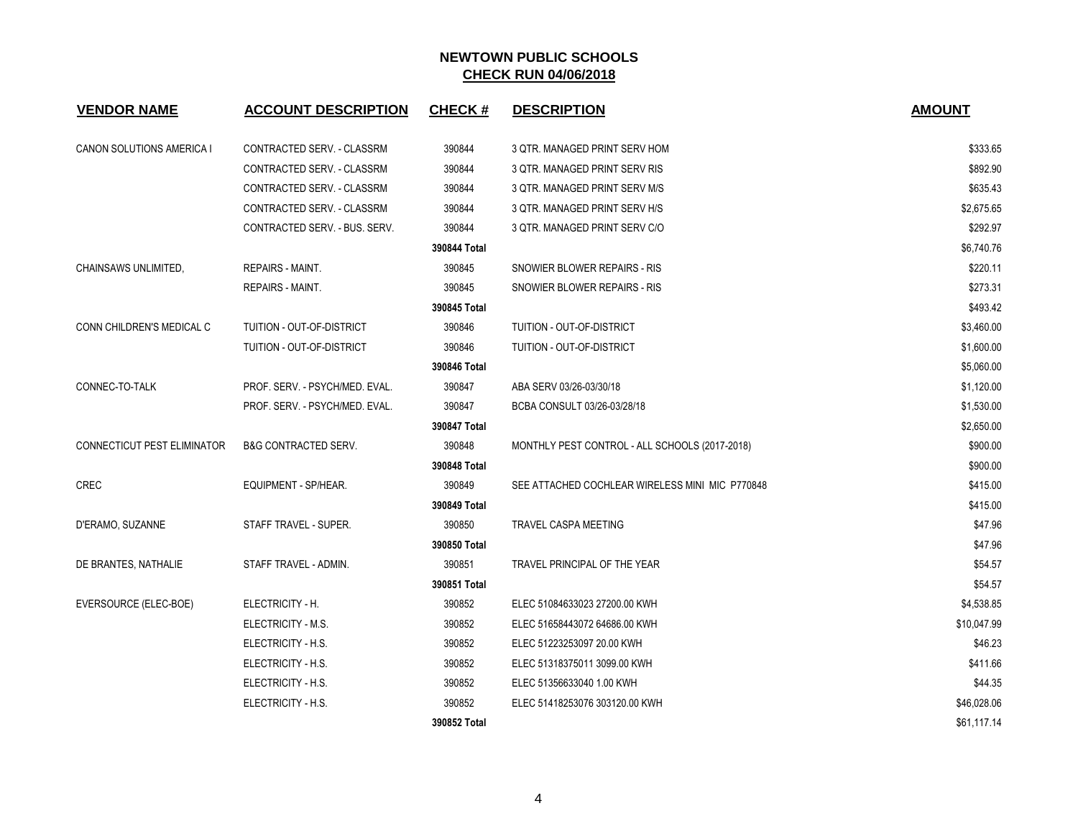| <b>VENDOR NAME</b>                 | <b>ACCOUNT DESCRIPTION</b>      | <b>CHECK#</b> | <b>DESCRIPTION</b>                              | <b>AMOUNT</b> |
|------------------------------------|---------------------------------|---------------|-------------------------------------------------|---------------|
| CANON SOLUTIONS AMERICA I          | CONTRACTED SERV. - CLASSRM      | 390844        | 3 QTR. MANAGED PRINT SERV HOM                   | \$333.65      |
|                                    | CONTRACTED SERV. - CLASSRM      | 390844        | 3 QTR. MANAGED PRINT SERV RIS                   | \$892.90      |
|                                    | CONTRACTED SERV. - CLASSRM      | 390844        | 3 QTR. MANAGED PRINT SERV M/S                   | \$635.43      |
|                                    | CONTRACTED SERV. - CLASSRM      | 390844        | 3 QTR. MANAGED PRINT SERV H/S                   | \$2,675.65    |
|                                    | CONTRACTED SERV. - BUS. SERV.   | 390844        | 3 QTR. MANAGED PRINT SERV C/O                   | \$292.97      |
|                                    |                                 | 390844 Total  |                                                 | \$6,740.76    |
| CHAINSAWS UNLIMITED.               | REPAIRS - MAINT.                | 390845        | SNOWIER BLOWER REPAIRS - RIS                    | \$220.11      |
|                                    | <b>REPAIRS - MAINT.</b>         | 390845        | SNOWIER BLOWER REPAIRS - RIS                    | \$273.31      |
|                                    |                                 | 390845 Total  |                                                 | \$493.42      |
| CONN CHILDREN'S MEDICAL C          | TUITION - OUT-OF-DISTRICT       | 390846        | TUITION - OUT-OF-DISTRICT                       | \$3,460.00    |
|                                    | TUITION - OUT-OF-DISTRICT       | 390846        | TUITION - OUT-OF-DISTRICT                       | \$1,600.00    |
|                                    |                                 | 390846 Total  |                                                 | \$5,060.00    |
| CONNEC-TO-TALK                     | PROF. SERV. - PSYCH/MED. EVAL.  | 390847        | ABA SERV 03/26-03/30/18                         | \$1,120.00    |
|                                    | PROF. SERV. - PSYCH/MED. EVAL.  | 390847        | BCBA CONSULT 03/26-03/28/18                     | \$1,530.00    |
|                                    |                                 | 390847 Total  |                                                 | \$2,650.00    |
| <b>CONNECTICUT PEST ELIMINATOR</b> | <b>B&amp;G CONTRACTED SERV.</b> | 390848        | MONTHLY PEST CONTROL - ALL SCHOOLS (2017-2018)  | \$900.00      |
|                                    |                                 | 390848 Total  |                                                 | \$900.00      |
| <b>CREC</b>                        | <b>EQUIPMENT - SP/HEAR.</b>     | 390849        | SEE ATTACHED COCHLEAR WIRELESS MINI MIC P770848 | \$415.00      |
|                                    |                                 | 390849 Total  |                                                 | \$415.00      |
| D'ERAMO, SUZANNE                   | STAFF TRAVEL - SUPER.           | 390850        | <b>TRAVEL CASPA MEETING</b>                     | \$47.96       |
|                                    |                                 | 390850 Total  |                                                 | \$47.96       |
| DE BRANTES, NATHALIE               | STAFF TRAVEL - ADMIN.           | 390851        | TRAVEL PRINCIPAL OF THE YEAR                    | \$54.57       |
|                                    |                                 | 390851 Total  |                                                 | \$54.57       |
| EVERSOURCE (ELEC-BOE)              | ELECTRICITY - H.                | 390852        | ELEC 51084633023 27200.00 KWH                   | \$4,538.85    |
|                                    | ELECTRICITY - M.S.              | 390852        | ELEC 51658443072 64686.00 KWH                   | \$10,047.99   |
|                                    | ELECTRICITY - H.S.              | 390852        | ELEC 51223253097 20.00 KWH                      | \$46.23       |
|                                    | ELECTRICITY - H.S.              | 390852        | ELEC 51318375011 3099.00 KWH                    | \$411.66      |
|                                    | ELECTRICITY - H.S.              | 390852        | ELEC 51356633040 1.00 KWH                       | \$44.35       |
|                                    | ELECTRICITY - H.S.              | 390852        | ELEC 51418253076 303120.00 KWH                  | \$46,028.06   |
|                                    |                                 | 390852 Total  |                                                 | \$61,117.14   |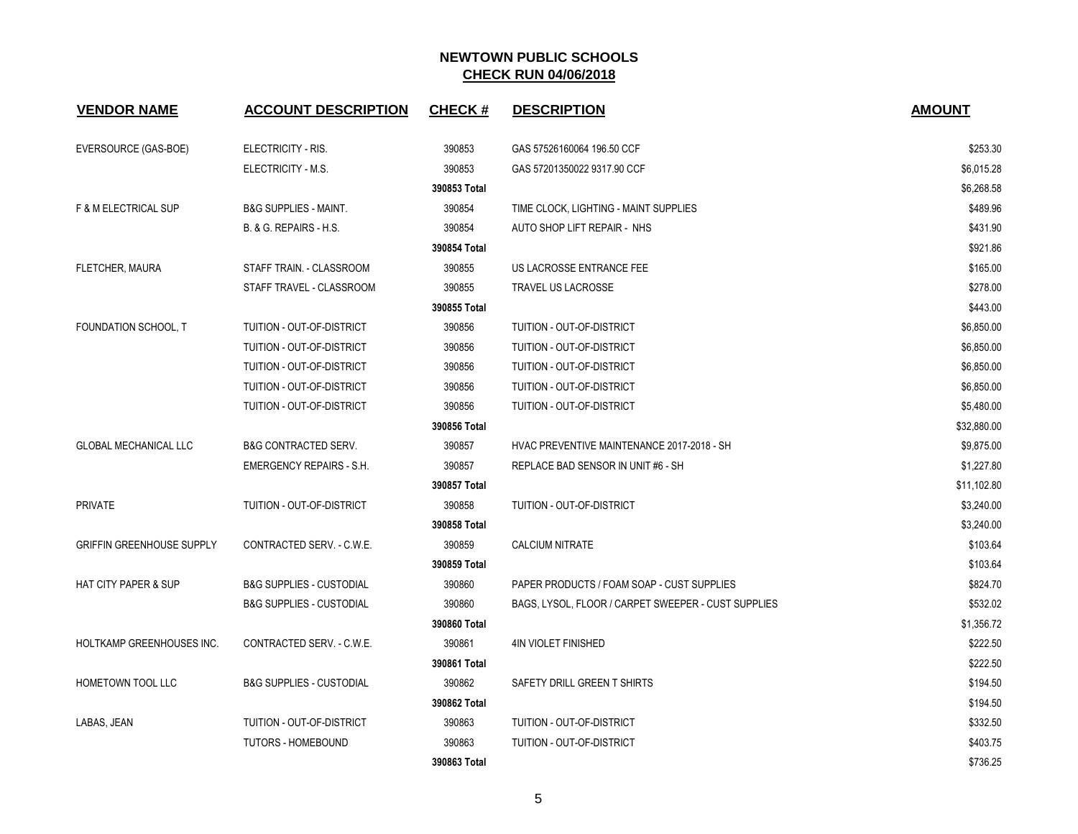| <b>VENDOR NAME</b>               | <b>ACCOUNT DESCRIPTION</b>          | <b>CHECK#</b> | <b>DESCRIPTION</b>                                  | <b>AMOUNT</b> |
|----------------------------------|-------------------------------------|---------------|-----------------------------------------------------|---------------|
| EVERSOURCE (GAS-BOE)             | ELECTRICITY - RIS.                  | 390853        | GAS 57526160064 196.50 CCF                          | \$253.30      |
|                                  | ELECTRICITY - M.S.                  | 390853        | GAS 57201350022 9317.90 CCF                         | \$6,015.28    |
|                                  |                                     | 390853 Total  |                                                     | \$6,268.58    |
| <b>F &amp; M ELECTRICAL SUP</b>  | <b>B&amp;G SUPPLIES - MAINT.</b>    | 390854        | TIME CLOCK, LIGHTING - MAINT SUPPLIES               | \$489.96      |
|                                  | B. & G. REPAIRS - H.S.              | 390854        | AUTO SHOP LIFT REPAIR - NHS                         | \$431.90      |
|                                  |                                     | 390854 Total  |                                                     | \$921.86      |
| FLETCHER, MAURA                  | STAFF TRAIN. - CLASSROOM            | 390855        | US LACROSSE ENTRANCE FEE                            | \$165.00      |
|                                  | STAFF TRAVEL - CLASSROOM            | 390855        | TRAVEL US LACROSSE                                  | \$278.00      |
|                                  |                                     | 390855 Total  |                                                     | \$443.00      |
| FOUNDATION SCHOOL, T             | TUITION - OUT-OF-DISTRICT           | 390856        | TUITION - OUT-OF-DISTRICT                           | \$6,850.00    |
|                                  | TUITION - OUT-OF-DISTRICT           | 390856        | <b>TUITION - OUT-OF-DISTRICT</b>                    | \$6,850.00    |
|                                  | TUITION - OUT-OF-DISTRICT           | 390856        | TUITION - OUT-OF-DISTRICT                           | \$6,850.00    |
|                                  | TUITION - OUT-OF-DISTRICT           | 390856        | TUITION - OUT-OF-DISTRICT                           | \$6,850.00    |
|                                  | TUITION - OUT-OF-DISTRICT           | 390856        | TUITION - OUT-OF-DISTRICT                           | \$5,480.00    |
|                                  |                                     | 390856 Total  |                                                     | \$32,880.00   |
| <b>GLOBAL MECHANICAL LLC</b>     | <b>B&amp;G CONTRACTED SERV.</b>     | 390857        | HVAC PREVENTIVE MAINTENANCE 2017-2018 - SH          | \$9,875.00    |
|                                  | <b>EMERGENCY REPAIRS - S.H.</b>     | 390857        | REPLACE BAD SENSOR IN UNIT #6 - SH                  | \$1,227.80    |
|                                  |                                     | 390857 Total  |                                                     | \$11,102.80   |
| PRIVATE                          | TUITION - OUT-OF-DISTRICT           | 390858        | TUITION - OUT-OF-DISTRICT                           | \$3,240.00    |
|                                  |                                     | 390858 Total  |                                                     | \$3,240.00    |
| <b>GRIFFIN GREENHOUSE SUPPLY</b> | CONTRACTED SERV. - C.W.E.           | 390859        | <b>CALCIUM NITRATE</b>                              | \$103.64      |
|                                  |                                     | 390859 Total  |                                                     | \$103.64      |
| <b>HAT CITY PAPER &amp; SUP</b>  | <b>B&amp;G SUPPLIES - CUSTODIAL</b> | 390860        | PAPER PRODUCTS / FOAM SOAP - CUST SUPPLIES          | \$824.70      |
|                                  | <b>B&amp;G SUPPLIES - CUSTODIAL</b> | 390860        | BAGS, LYSOL, FLOOR / CARPET SWEEPER - CUST SUPPLIES | \$532.02      |
|                                  |                                     | 390860 Total  |                                                     | \$1,356.72    |
| HOLTKAMP GREENHOUSES INC.        | CONTRACTED SERV. - C.W.E.           | 390861        | <b>4IN VIOLET FINISHED</b>                          | \$222.50      |
|                                  |                                     | 390861 Total  |                                                     | \$222.50      |
| HOMETOWN TOOL LLC                | <b>B&amp;G SUPPLIES - CUSTODIAL</b> | 390862        | SAFETY DRILL GREEN T SHIRTS                         | \$194.50      |
|                                  |                                     | 390862 Total  |                                                     | \$194.50      |
| LABAS, JEAN                      | TUITION - OUT-OF-DISTRICT           | 390863        | <b>TUITION - OUT-OF-DISTRICT</b>                    | \$332.50      |
|                                  | <b>TUTORS - HOMEBOUND</b>           | 390863        | <b>TUITION - OUT-OF-DISTRICT</b>                    | \$403.75      |
|                                  |                                     | 390863 Total  |                                                     | \$736.25      |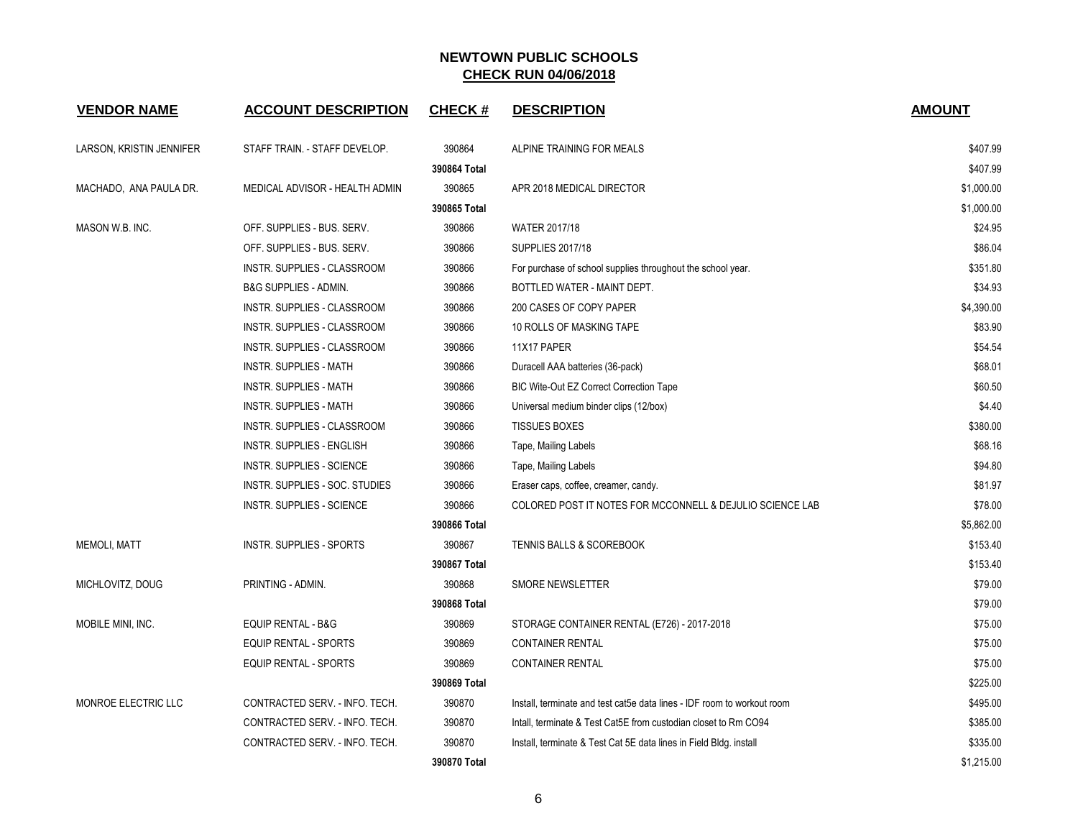| <b>VENDOR NAME</b>       | <b>ACCOUNT DESCRIPTION</b>       | <b>CHECK#</b> | <b>DESCRIPTION</b>                                                      | <b>AMOUNT</b> |
|--------------------------|----------------------------------|---------------|-------------------------------------------------------------------------|---------------|
| LARSON, KRISTIN JENNIFER | STAFF TRAIN. - STAFF DEVELOP.    | 390864        | ALPINE TRAINING FOR MEALS                                               | \$407.99      |
|                          |                                  | 390864 Total  |                                                                         | \$407.99      |
| MACHADO, ANA PAULA DR.   | MEDICAL ADVISOR - HEALTH ADMIN   | 390865        | APR 2018 MEDICAL DIRECTOR                                               | \$1,000.00    |
|                          |                                  | 390865 Total  |                                                                         | \$1,000.00    |
| MASON W.B. INC.          | OFF. SUPPLIES - BUS. SERV.       | 390866        | WATER 2017/18                                                           | \$24.95       |
|                          | OFF. SUPPLIES - BUS. SERV.       | 390866        | <b>SUPPLIES 2017/18</b>                                                 | \$86.04       |
|                          | INSTR. SUPPLIES - CLASSROOM      | 390866        | For purchase of school supplies throughout the school year.             | \$351.80      |
|                          | <b>B&amp;G SUPPLIES - ADMIN.</b> | 390866        | BOTTLED WATER - MAINT DEPT.                                             | \$34.93       |
|                          | INSTR. SUPPLIES - CLASSROOM      | 390866        | 200 CASES OF COPY PAPER                                                 | \$4,390.00    |
|                          | INSTR. SUPPLIES - CLASSROOM      | 390866        | 10 ROLLS OF MASKING TAPE                                                | \$83.90       |
|                          | INSTR. SUPPLIES - CLASSROOM      | 390866        | 11X17 PAPER                                                             | \$54.54       |
|                          | <b>INSTR. SUPPLIES - MATH</b>    | 390866        | Duracell AAA batteries (36-pack)                                        | \$68.01       |
|                          | INSTR. SUPPLIES - MATH           | 390866        | BIC Wite-Out EZ Correct Correction Tape                                 | \$60.50       |
|                          | INSTR. SUPPLIES - MATH           | 390866        | Universal medium binder clips (12/box)                                  | \$4.40        |
|                          | INSTR. SUPPLIES - CLASSROOM      | 390866        | <b>TISSUES BOXES</b>                                                    | \$380.00      |
|                          | <b>INSTR. SUPPLIES - ENGLISH</b> | 390866        | Tape, Mailing Labels                                                    | \$68.16       |
|                          | <b>INSTR. SUPPLIES - SCIENCE</b> | 390866        | Tape, Mailing Labels                                                    | \$94.80       |
|                          | INSTR. SUPPLIES - SOC. STUDIES   | 390866        | Eraser caps, coffee, creamer, candy.                                    | \$81.97       |
|                          | <b>INSTR. SUPPLIES - SCIENCE</b> | 390866        | COLORED POST IT NOTES FOR MCCONNELL & DEJULIO SCIENCE LAB               | \$78.00       |
|                          |                                  | 390866 Total  |                                                                         | \$5,862.00    |
| <b>MEMOLI, MATT</b>      | <b>INSTR. SUPPLIES - SPORTS</b>  | 390867        | <b>TENNIS BALLS &amp; SCOREBOOK</b>                                     | \$153.40      |
|                          |                                  | 390867 Total  |                                                                         | \$153.40      |
| MICHLOVITZ, DOUG         | PRINTING - ADMIN.                | 390868        | SMORE NEWSLETTER                                                        | \$79.00       |
|                          |                                  | 390868 Total  |                                                                         | \$79.00       |
| MOBILE MINI, INC.        | <b>EQUIP RENTAL - B&amp;G</b>    | 390869        | STORAGE CONTAINER RENTAL (E726) - 2017-2018                             | \$75.00       |
|                          | EQUIP RENTAL - SPORTS            | 390869        | <b>CONTAINER RENTAL</b>                                                 | \$75.00       |
|                          | EQUIP RENTAL - SPORTS            | 390869        | <b>CONTAINER RENTAL</b>                                                 | \$75.00       |
|                          |                                  | 390869 Total  |                                                                         | \$225.00      |
| MONROE ELECTRIC LLC      | CONTRACTED SERV. - INFO. TECH.   | 390870        | Install, terminate and test cat5e data lines - IDF room to workout room | \$495.00      |
|                          | CONTRACTED SERV. - INFO. TECH.   | 390870        | Intall, terminate & Test Cat5E from custodian closet to Rm CO94         | \$385.00      |
|                          | CONTRACTED SERV. - INFO. TECH.   | 390870        | Install, terminate & Test Cat 5E data lines in Field Bldg. install      | \$335.00      |
|                          |                                  | 390870 Total  |                                                                         | \$1,215.00    |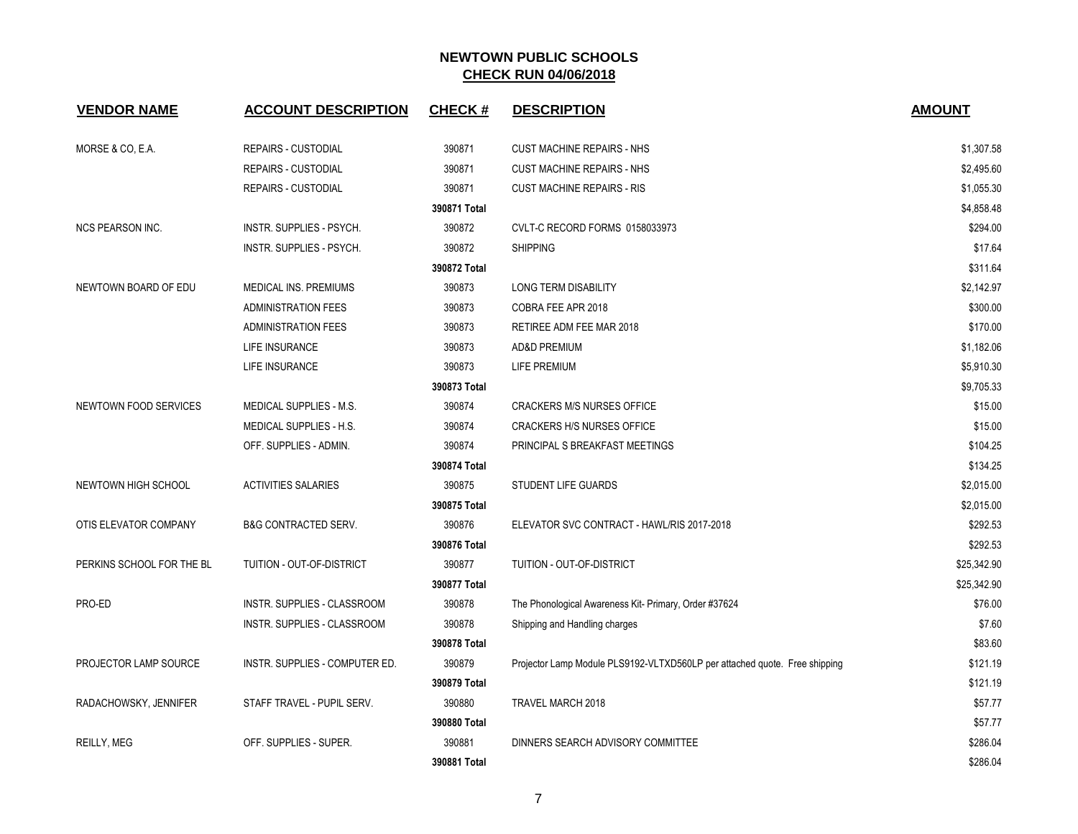| <b>VENDOR NAME</b>        | <b>ACCOUNT DESCRIPTION</b>         | <b>CHECK#</b> | <b>DESCRIPTION</b>                                                         | <b>AMOUNT</b> |
|---------------------------|------------------------------------|---------------|----------------------------------------------------------------------------|---------------|
| MORSE & CO, E.A.          | <b>REPAIRS - CUSTODIAL</b>         | 390871        | <b>CUST MACHINE REPAIRS - NHS</b>                                          | \$1,307.58    |
|                           | <b>REPAIRS - CUSTODIAL</b>         | 390871        | <b>CUST MACHINE REPAIRS - NHS</b>                                          | \$2,495.60    |
|                           | <b>REPAIRS - CUSTODIAL</b>         | 390871        | <b>CUST MACHINE REPAIRS - RIS</b>                                          | \$1,055.30    |
|                           |                                    | 390871 Total  |                                                                            | \$4,858.48    |
| <b>NCS PEARSON INC.</b>   | INSTR. SUPPLIES - PSYCH.           | 390872        | CVLT-C RECORD FORMS 0158033973                                             | \$294.00      |
|                           | INSTR. SUPPLIES - PSYCH.           | 390872        | <b>SHIPPING</b>                                                            | \$17.64       |
|                           |                                    | 390872 Total  |                                                                            | \$311.64      |
| NEWTOWN BOARD OF EDU      | MEDICAL INS. PREMIUMS              | 390873        | LONG TERM DISABILITY                                                       | \$2,142.97    |
|                           | <b>ADMINISTRATION FEES</b>         | 390873        | COBRA FEE APR 2018                                                         | \$300.00      |
|                           | <b>ADMINISTRATION FEES</b>         | 390873        | RETIREE ADM FEE MAR 2018                                                   | \$170.00      |
|                           | <b>LIFE INSURANCE</b>              | 390873        | <b>AD&amp;D PREMIUM</b>                                                    | \$1,182.06    |
|                           | <b>LIFE INSURANCE</b>              | 390873        | LIFE PREMIUM                                                               | \$5,910.30    |
|                           |                                    | 390873 Total  |                                                                            | \$9,705.33    |
| NEWTOWN FOOD SERVICES     | MEDICAL SUPPLIES - M.S.            | 390874        | <b>CRACKERS M/S NURSES OFFICE</b>                                          | \$15.00       |
|                           | MEDICAL SUPPLIES - H.S.            | 390874        | <b>CRACKERS H/S NURSES OFFICE</b>                                          | \$15.00       |
|                           | OFF. SUPPLIES - ADMIN.             | 390874        | PRINCIPAL S BREAKFAST MEETINGS                                             | \$104.25      |
|                           |                                    | 390874 Total  |                                                                            | \$134.25      |
| NEWTOWN HIGH SCHOOL       | <b>ACTIVITIES SALARIES</b>         | 390875        | <b>STUDENT LIFE GUARDS</b>                                                 | \$2,015.00    |
|                           |                                    | 390875 Total  |                                                                            | \$2,015.00    |
| OTIS ELEVATOR COMPANY     | <b>B&amp;G CONTRACTED SERV.</b>    | 390876        | ELEVATOR SVC CONTRACT - HAWL/RIS 2017-2018                                 | \$292.53      |
|                           |                                    | 390876 Total  |                                                                            | \$292.53      |
| PERKINS SCHOOL FOR THE BL | TUITION - OUT-OF-DISTRICT          | 390877        | TUITION - OUT-OF-DISTRICT                                                  | \$25,342.90   |
|                           |                                    | 390877 Total  |                                                                            | \$25,342.90   |
| PRO-ED                    | <b>INSTR. SUPPLIES - CLASSROOM</b> | 390878        | The Phonological Awareness Kit- Primary, Order #37624                      | \$76.00       |
|                           | INSTR. SUPPLIES - CLASSROOM        | 390878        | Shipping and Handling charges                                              | \$7.60        |
|                           |                                    | 390878 Total  |                                                                            | \$83.60       |
| PROJECTOR LAMP SOURCE     | INSTR. SUPPLIES - COMPUTER ED.     | 390879        | Projector Lamp Module PLS9192-VLTXD560LP per attached quote. Free shipping | \$121.19      |
|                           |                                    | 390879 Total  |                                                                            | \$121.19      |
| RADACHOWSKY, JENNIFER     | STAFF TRAVEL - PUPIL SERV.         | 390880        | TRAVEL MARCH 2018                                                          | \$57.77       |
|                           |                                    | 390880 Total  |                                                                            | \$57.77       |
| <b>REILLY, MEG</b>        | OFF. SUPPLIES - SUPER.             | 390881        | DINNERS SEARCH ADVISORY COMMITTEE                                          | \$286.04      |
|                           |                                    | 390881 Total  |                                                                            | \$286.04      |